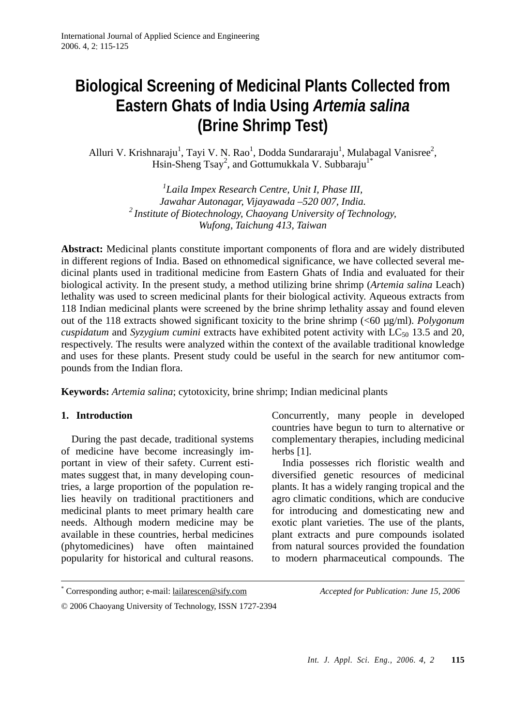# **Biological Screening of Medicinal Plants Collected from Eastern Ghats of India Using** *Artemia salina*  **(Brine Shrimp Test)**

Alluri V. Krishnaraju<sup>1</sup>, Tayi V. N. Rao<sup>1</sup>, Dodda Sundararaju<sup>1</sup>, Mulabagal Vanisree<sup>2</sup>, Hsin-Sheng Tsay<sup>2</sup>, and Gottumukkala V. Subbaraju<sup>1\*</sup>

> *1 Laila Impex Research Centre, Unit I, Phase III, Jawahar Autonagar, Vijayawada –520 007, India. 2 Institute of Biotechnology, Chaoyang University of Technology, Wufong, Taichung 413, Taiwan*

**Abstract:** Medicinal plants constitute important components of flora and are widely distributed in different regions of India. Based on ethnomedical significance, we have collected several medicinal plants used in traditional medicine from Eastern Ghats of India and evaluated for their biological activity. In the present study, a method utilizing brine shrimp (*Artemia salina* Leach) lethality was used to screen medicinal plants for their biological activity. Aqueous extracts from 118 Indian medicinal plants were screened by the brine shrimp lethality assay and found eleven out of the 118 extracts showed significant toxicity to the brine shrimp (<60 µg/ml). *Polygonum cuspidatum* and *Syzygium cumini* extracts have exhibited potent activity with LC<sub>50</sub> 13.5 and 20, respectively. The results were analyzed within the context of the available traditional knowledge and uses for these plants. Present study could be useful in the search for new antitumor compounds from the Indian flora.

**Keywords:** *Artemia salina*; cytotoxicity, brine shrimp; Indian medicinal plants

#### **1. Introduction**

During the past decade, traditional systems of medicine have become increasingly important in view of their safety. Current estimates suggest that, in many developing countries, a large proportion of the population relies heavily on traditional practitioners and medicinal plants to meet primary health care needs. Although modern medicine may be available in these countries, herbal medicines (phytomedicines) have often maintained popularity for historical and cultural reasons. Concurrently, many people in developed countries have begun to turn to alternative or complementary therapies, including medicinal herbs [1].

India possesses rich floristic wealth and diversified genetic resources of medicinal plants. It has a widely ranging tropical and the agro climatic conditions, which are conducive for introducing and domesticating new and exotic plant varieties. The use of the plants, plant extracts and pure compounds isolated from natural sources provided the foundation to modern pharmaceutical compounds. The

 <sup>\*</sup> Corresponding author; e-mail: lailarescen@sify.com *Accepted for Publication: June 15, 2006*

<sup>© 2006</sup> Chaoyang University of Technology, ISSN 1727-2394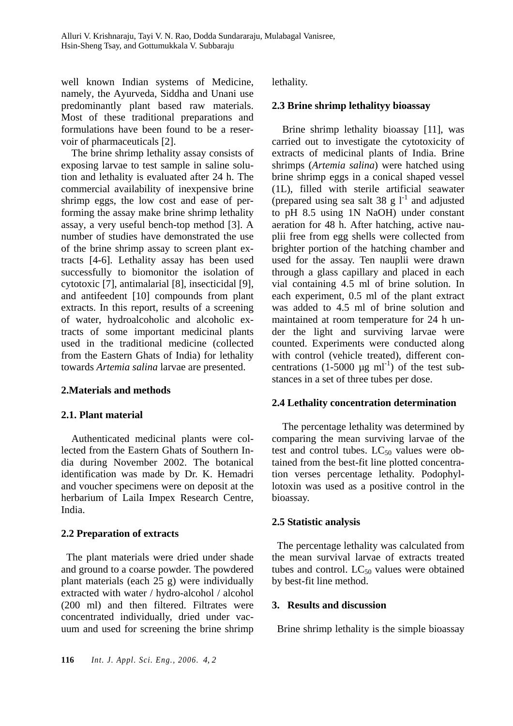well known Indian systems of Medicine, namely, the Ayurveda, Siddha and Unani use predominantly plant based raw materials. Most of these traditional preparations and formulations have been found to be a reservoir of pharmaceuticals [2].

The brine shrimp lethality assay consists of exposing larvae to test sample in saline solution and lethality is evaluated after 24 h. The commercial availability of inexpensive brine shrimp eggs, the low cost and ease of performing the assay make brine shrimp lethality assay, a very useful bench-top method [3]. A number of studies have demonstrated the use of the brine shrimp assay to screen plant extracts [4-6]. Lethality assay has been used successfully to biomonitor the isolation of cytotoxic [7], antimalarial [8], insecticidal [9], and antifeedent [10] compounds from plant extracts. In this report, results of a screening of water, hydroalcoholic and alcoholic extracts of some important medicinal plants used in the traditional medicine (collected from the Eastern Ghats of India) for lethality towards *Artemia salina* larvae are presented.

#### **2.Materials and methods**

#### **2.1. Plant material**

Authenticated medicinal plants were collected from the Eastern Ghats of Southern India during November 2002. The botanical identification was made by Dr. K. Hemadri and voucher specimens were on deposit at the herbarium of Laila Impex Research Centre, India.

#### **2.2 Preparation of extracts**

The plant materials were dried under shade and ground to a coarse powder. The powdered plant materials (each 25 g) were individually extracted with water / hydro-alcohol / alcohol (200 ml) and then filtered. Filtrates were concentrated individually, dried under vacuum and used for screening the brine shrimp

lethality.

extracts of medicinal plants of India. Brine shrimps (*Artemia salina*) were hatched using brine shrimp eggs in a conical shaped vessel (1L), filled with sterile artificial seawater (prepared using sea salt 38 g  $1^{-1}$  and adjusted to pH 8.5 using 1N NaOH) under constant aeration for 48 h. After hatching, active nauplii free from egg shells were collected from brighter portion of the hatching chamber and used for the assay. Ten nauplii were drawn through a glass capillary and placed in each vial containing 4.5 ml of brine solution. In each experiment, 0.5 ml of the plant extract was added to 4.5 ml of brine solution and maintained at room temperature for 24 h under the light and surviving larvae were counted. Experiments were conducted along with control (vehicle treated), different concentrations  $(1-5000 \mu g \text{ ml}^{-1})$  of the test substances in a set of three tubes per dose.

**2.3 Brine shrimp lethalityy bioassay** 

Brine shrimp lethality bioassay [11], was carried out to investigate the cytotoxicity of

#### **2.4 Lethality concentration determination**

The percentage lethality was determined by comparing the mean surviving larvae of the test and control tubes.  $LC_{50}$  values were obtained from the best-fit line plotted concentration verses percentage lethality. Podophyllotoxin was used as a positive control in the bioassay.

#### **2.5 Statistic analysis**

The percentage lethality was calculated from the mean survival larvae of extracts treated tubes and control.  $LC_{50}$  values were obtained by best-fit line method.

#### **3. Results and discussion**

Brine shrimp lethality is the simple bioassay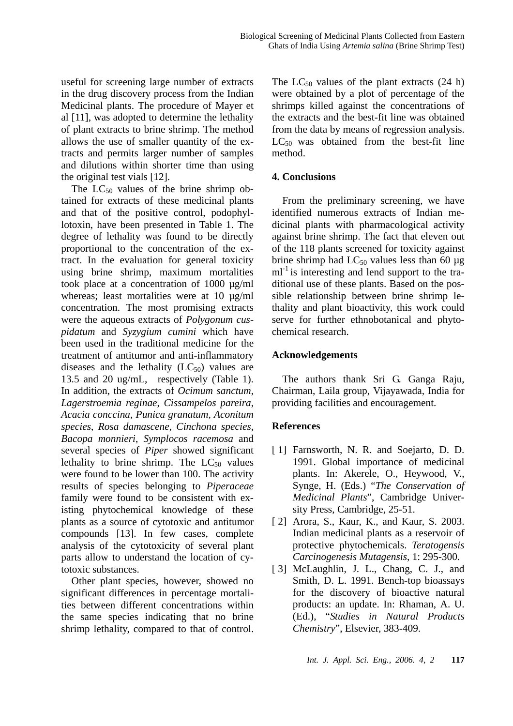useful for screening large number of extracts in the drug discovery process from the Indian Medicinal plants. The procedure of Mayer et al [11], was adopted to determine the lethality of plant extracts to brine shrimp. The method allows the use of smaller quantity of the extracts and permits larger number of samples and dilutions within shorter time than using the original test vials [12].

The  $LC_{50}$  values of the brine shrimp obtained for extracts of these medicinal plants and that of the positive control, podophyllotoxin, have been presented in Table 1. The degree of lethality was found to be directly proportional to the concentration of the extract. In the evaluation for general toxicity using brine shrimp, maximum mortalities took place at a concentration of 1000 µg/ml whereas; least mortalities were at 10  $\mu$ g/ml concentration. The most promising extracts were the aqueous extracts of *Polygonum cuspidatum* and *Syzygium cumini* which have been used in the traditional medicine for the treatment of antitumor and anti-inflammatory diseases and the lethality  $(LC_{50})$  values are 13.5 and 20 ug/mL, respectively (Table 1). In addition, the extracts of *Ocimum sanctum*, *Lagerstroemia reginae*, *Cissampelos pareira*, *Acacia conccina*, *Punica granatum*, *Aconitum species*, *Rosa damascene*, *Cinchona species*, *Bacopa monnieri*, *Symplocos racemosa* and several species of *Piper* showed significant lethality to brine shrimp. The  $LC_{50}$  values were found to be lower than 100. The activity results of species belonging to *Piperaceae* family were found to be consistent with existing phytochemical knowledge of these plants as a source of cytotoxic and antitumor compounds [13]. In few cases, complete analysis of the cytotoxicity of several plant parts allow to understand the location of cytotoxic substances.

Other plant species, however, showed no significant differences in percentage mortalities between different concentrations within the same species indicating that no brine shrimp lethality, compared to that of control.

The  $LC_{50}$  values of the plant extracts (24 h) were obtained by a plot of percentage of the shrimps killed against the concentrations of the extracts and the best-fit line was obtained from the data by means of regression analysis.  $LC_{50}$  was obtained from the best-fit line method.

## **4. Conclusions**

From the preliminary screening, we have identified numerous extracts of Indian medicinal plants with pharmacological activity against brine shrimp. The fact that eleven out of the 118 plants screened for toxicity against brine shrimp had  $LC_{50}$  values less than 60 µg  $ml<sup>-1</sup>$  is interesting and lend support to the traditional use of these plants. Based on the possible relationship between brine shrimp lethality and plant bioactivity, this work could serve for further ethnobotanical and phytochemical research.

### **Acknowledgements**

The authors thank Sri G. Ganga Raju, Chairman, Laila group, Vijayawada, India for providing facilities and encouragement.

## **References**

- [1] Farnsworth, N. R. and Soejarto, D. D. 1991. Global importance of medicinal plants. In: Akerele, O., Heywood, V., Synge, H. (Eds.) "*The Conservation of Medicinal Plants*", Cambridge University Press, Cambridge, 25-51.
- [ 2] Arora, S., Kaur, K., and Kaur, S. 2003. Indian medicinal plants as a reservoir of protective phytochemicals. *Teratogensis Carcinogenesis Mutagensis*, 1: 295-300.
- [3] McLaughlin, J. L., Chang, C. J., and Smith, D. L. 1991. Bench-top bioassays for the discovery of bioactive natural products: an update. In: Rhaman, A. U. (Ed.), "*Studies in Natural Products Chemistry*", Elsevier, 383-409.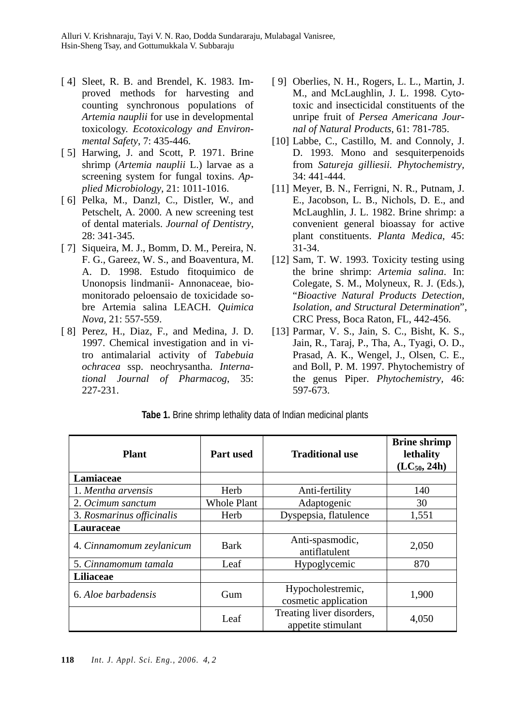- [ 4] Sleet, R. B. and Brendel, K. 1983. Improved methods for harvesting and counting synchronous populations of *Artemia nauplii* for use in developmental toxicology. *Ecotoxicology and Environmental Safety*, 7: 435-446.
- [5] Harwing, J. and Scott, P. 1971. Brine shrimp (*Artemia nauplii* L.) larvae as a screening system for fungal toxins. *Applied Microbiology*, 21: 1011-1016.
- [ 6] Pelka, M., Danzl, C., Distler, W., and Petschelt, A. 2000. A new screening test of dental materials. *Journal of Dentistry*, 28: 341-345.
- [ 7] Siqueira, M. J., Bomm, D. M., Pereira, N. F. G., Gareez, W. S., and Boaventura, M. A. D. 1998. Estudo fitoquimico de Unonopsis lindmanii- Annonaceae, biomonitorado peloensaio de toxicidade sobre Artemia salina LEACH. *Quimica Nova*, 21: 557-559.
- [ 8] Perez, H., Diaz, F., and Medina, J. D. 1997. Chemical investigation and in vitro antimalarial activity of *Tabebuia ochracea* ssp. neochrysantha. *International Journal of Pharmacog*, 35: 227-231.
- [ 9] Oberlies, N. H., Rogers, L. L., Martin, J. M., and McLaughlin, J. L. 1998. Cytotoxic and insecticidal constituents of the unripe fruit of *Persea Americana Journal of Natural Products*, 61: 781-785.
- [10] Labbe, C., Castillo, M. and Connoly, J. D. 1993. Mono and sesquiterpenoids from *Satureja gilliesii. Phytochemistry,* 34: 441-444.
- [11] Meyer, B. N., Ferrigni, N. R., Putnam, J. E., Jacobson, L. B., Nichols, D. E., and McLaughlin, J. L. 1982. Brine shrimp: a convenient general bioassay for active plant constituents. *Planta Medica*, 45: 31-34.
- [12] Sam, T. W. 1993. Toxicity testing using the brine shrimp: *Artemia salina*. In: Colegate, S. M., Molyneux, R. J. (Eds.), "*Bioactive Natural Products Detection, Isolation, and Structural Determination*", CRC Press, Boca Raton, FL, 442-456.
- [13] Parmar, V. S., Jain, S. C., Bisht, K. S., Jain, R., Taraj, P., Tha, A., Tyagi, O. D., Prasad, A. K., Wengel, J., Olsen, C. E., and Boll, P. M. 1997. Phytochemistry of the genus Piper. *Phytochemistry,* 46: 597-673.

| <b>Plant</b>              | <b>Part used</b>   | <b>Traditional use</b>                          | <b>Brine shrimp</b><br>lethality<br>$(LC_{50}, 24h)$ |
|---------------------------|--------------------|-------------------------------------------------|------------------------------------------------------|
| Lamiaceae                 |                    |                                                 |                                                      |
| 1. Mentha arvensis        | Herb               | Anti-fertility                                  | 140                                                  |
| 2. Ocimum sanctum         | <b>Whole Plant</b> | Adaptogenic                                     | 30                                                   |
| 3. Rosmarinus officinalis | Herb               | Dyspepsia, flatulence                           | 1,551                                                |
| Lauraceae                 |                    |                                                 |                                                      |
| 4. Cinnamomum zeylanicum  | <b>Bark</b>        | Anti-spasmodic,<br>antiflatulent                | 2,050                                                |
| 5. Cinnamomum tamala      | Leaf               | Hypoglycemic                                    | 870                                                  |
| <b>Liliaceae</b>          |                    |                                                 |                                                      |
| 6. Aloe barbadensis       | Gum                | Hypocholestremic,<br>cosmetic application       | 1,900                                                |
|                           | Leaf               | Treating liver disorders,<br>appetite stimulant | 4,050                                                |

**Tabe 1.** Brine shrimp lethality data of Indian medicinal plants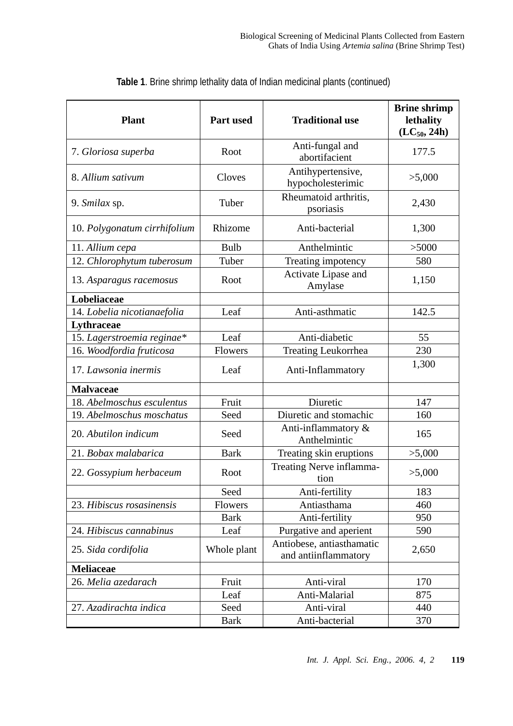| <b>Plant</b>                 | Part used   | <b>Traditional use</b>                            | <b>Brine shrimp</b><br>lethality<br>$(LC_{50}, 24h)$ |
|------------------------------|-------------|---------------------------------------------------|------------------------------------------------------|
| 7. Gloriosa superba          | Root        | Anti-fungal and<br>abortifacient                  | 177.5                                                |
| 8. Allium sativum            | Cloves      | Antihypertensive,<br>hypocholesterimic            | >5,000                                               |
| 9. Smilax sp.                | Tuber       | Rheumatoid arthritis,<br>psoriasis                | 2,430                                                |
| 10. Polygonatum cirrhifolium | Rhizome     | Anti-bacterial                                    | 1,300                                                |
| 11. Allium cepa              | Bulb        | Anthelmintic                                      | >5000                                                |
| 12. Chlorophytum tuberosum   | Tuber       | Treating impotency                                | 580                                                  |
| 13. Asparagus racemosus      | Root        | Activate Lipase and<br>Amylase                    | 1,150                                                |
| Lobeliaceae                  |             |                                                   |                                                      |
| 14. Lobelia nicotianaefolia  | Leaf        | Anti-asthmatic                                    | 142.5                                                |
| Lythraceae                   |             |                                                   |                                                      |
| 15. Lagerstroemia reginae*   | Leaf        | Anti-diabetic                                     | 55                                                   |
| 16. Woodfordia fruticosa     | Flowers     | Treating Leukorrhea                               | 230                                                  |
| 17. Lawsonia inermis         | Leaf        | Anti-Inflammatory                                 | 1,300                                                |
| <b>Malvaceae</b>             |             |                                                   |                                                      |
| 18. Abelmoschus esculentus   | Fruit       | Diuretic                                          | 147                                                  |
| 19. Abelmoschus moschatus    | Seed        | Diuretic and stomachic                            | 160                                                  |
| 20. Abutilon indicum         | Seed        | Anti-inflammatory &<br>Anthelmintic               | 165                                                  |
| 21. Bobax malabarica         | <b>Bark</b> | Treating skin eruptions                           | >5,000                                               |
| 22. Gossypium herbaceum      | Root        | Treating Nerve inflamma-<br>tion                  | >5,000                                               |
|                              | Seed        | Anti-fertility                                    | 183                                                  |
| 23. Hibiscus rosasinensis    | Flowers     | Antiasthama                                       | 460                                                  |
|                              | <b>Bark</b> | Anti-fertility                                    | 950                                                  |
| 24. Hibiscus cannabinus      | Leaf        | Purgative and aperient                            | 590                                                  |
| 25. Sida cordifolia          | Whole plant | Antiobese, antiasthamatic<br>and antiinflammatory | 2,650                                                |
| Meliaceae                    |             |                                                   |                                                      |
| 26. Melia azedarach          | Fruit       | Anti-viral                                        | 170                                                  |
|                              | Leaf        | Anti-Malarial                                     | 875                                                  |
| 27. Azadirachta indica       | Seed        | Anti-viral                                        | 440                                                  |
|                              | <b>Bark</b> | Anti-bacterial                                    | 370                                                  |

**Table 1**. Brine shrimp lethality data of Indian medicinal plants (continued)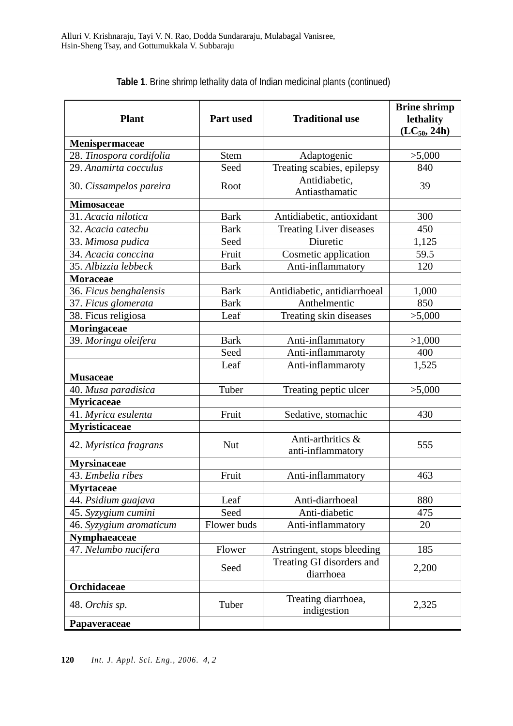| <b>Plant</b>             | Part used   | <b>Traditional use</b>                 | <b>Brine shrimp</b><br>lethality<br>$(LC_{50}, 24h)$ |
|--------------------------|-------------|----------------------------------------|------------------------------------------------------|
| Menispermaceae           |             |                                        |                                                      |
| 28. Tinospora cordifolia | <b>Stem</b> | Adaptogenic                            | >5,000                                               |
| 29. Anamirta cocculus    | Seed        | Treating scabies, epilepsy             | 840                                                  |
| 30. Cissampelos pareira  | Root        | Antidiabetic,<br>Antiasthamatic        | 39                                                   |
| <b>Mimosaceae</b>        |             |                                        |                                                      |
| 31. Acacia nilotica      | <b>Bark</b> | Antidiabetic, antioxidant              | 300                                                  |
| 32. Acacia catechu       | <b>Bark</b> | <b>Treating Liver diseases</b>         | 450                                                  |
| 33. Mimosa pudica        | Seed        | Diuretic                               | 1,125                                                |
| 34. Acacia conccina      | Fruit       | Cosmetic application                   | 59.5                                                 |
| 35. Albizzia lebbeck     | <b>Bark</b> | Anti-inflammatory                      | 120                                                  |
| <b>Moraceae</b>          |             |                                        |                                                      |
| 36. Ficus benghalensis   | <b>Bark</b> | Antidiabetic, antidiarrhoeal           | 1,000                                                |
| 37. Ficus glomerata      | <b>Bark</b> | Anthelmentic                           | 850                                                  |
| 38. Ficus religiosa      | Leaf        | Treating skin diseases                 | >5,000                                               |
| Moringaceae              |             |                                        |                                                      |
| 39. Moringa oleifera     | <b>Bark</b> | Anti-inflammatory                      | >1,000                                               |
|                          | Seed        | Anti-inflammaroty                      | 400                                                  |
|                          | Leaf        | Anti-inflammaroty                      | 1,525                                                |
| <b>Musaceae</b>          |             |                                        |                                                      |
| 40. Musa paradisica      | Tuber       | Treating peptic ulcer                  | >5,000                                               |
| <b>Myricaceae</b>        |             |                                        |                                                      |
| 41. Myrica esulenta      | Fruit       | Sedative, stomachic                    | 430                                                  |
| Myristicaceae            |             |                                        |                                                      |
| 42. Myristica fragrans   | Nut         | Anti-arthritics &<br>anti-inflammatory | 555                                                  |
| <b>Myrsinaceae</b>       |             |                                        |                                                      |
| 43. Embelia ribes        | Fruit       | Anti-inflammatory                      | 463                                                  |
| <b>Myrtaceae</b>         |             |                                        |                                                      |
| 44. Psidium guajava      | Leaf        | Anti-diarrhoeal                        | 880                                                  |
| 45. Syzygium cumini      | Seed        | Anti-diabetic                          | 475                                                  |
| 46. Syzygium aromaticum  | Flower buds | Anti-inflammatory                      | 20                                                   |
| Nymphaeaceae             |             |                                        |                                                      |
| 47. Nelumbo nucifera     | Flower      | Astringent, stops bleeding             | 185                                                  |
|                          | Seed        | Treating GI disorders and<br>diarrhoea | 2,200                                                |
| Orchidaceae              |             |                                        |                                                      |
| 48. Orchis sp.           | Tuber       | Treating diarrhoea,<br>indigestion     | 2,325                                                |
| Papaveraceae             |             |                                        |                                                      |

**Table 1**. Brine shrimp lethality data of Indian medicinal plants (continued)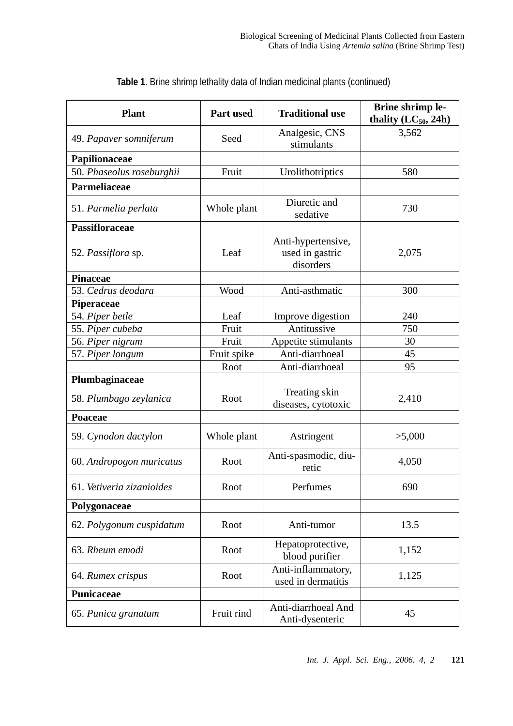| <b>Plant</b>                             | Part used   | <b>Traditional use</b>                             | Brine shrimp le-<br>thality $(LC_{50}, 24h)$ |
|------------------------------------------|-------------|----------------------------------------------------|----------------------------------------------|
| 49. Papaver somniferum                   | Seed        | Analgesic, CNS<br>stimulants                       | 3,562                                        |
| Papilionaceae                            |             |                                                    |                                              |
| 50. Phaseolus roseburghii                | Fruit       | Urolithotriptics                                   | 580                                          |
| Parmeliaceae                             |             |                                                    |                                              |
| 51. Parmelia perlata                     | Whole plant | Diuretic and<br>sedative                           | 730                                          |
| <b>Passifloraceae</b>                    |             |                                                    |                                              |
| 52. Passiflora sp.                       | Leaf        | Anti-hypertensive,<br>used in gastric<br>disorders | 2,075                                        |
| <b>Pinaceae</b>                          |             |                                                    |                                              |
| 53. Cedrus deodara                       | Wood        | Anti-asthmatic                                     | 300                                          |
| Piperaceae                               |             |                                                    |                                              |
| 54. Piper betle                          | Leaf        | Improve digestion                                  | 240                                          |
| 55. Piper cubeba                         | Fruit       | Antitussive                                        | 750                                          |
| 56. Piper nigrum                         | Fruit       | Appetite stimulants                                | 30                                           |
| 57. Piper longum                         | Fruit spike | Anti-diarrhoeal                                    | 45                                           |
|                                          | Root        | Anti-diarrhoeal                                    | 95                                           |
| Plumbaginaceae<br>58. Plumbago zeylanica | Root        | Treating skin<br>diseases, cytotoxic               | 2,410                                        |
| Poaceae                                  |             |                                                    |                                              |
| 59. Cynodon dactylon                     | Whole plant | Astringent                                         | >5,000                                       |
| 60. Andropogon muricatus                 | Root        | Anti-spasmodic, diu-<br>retic                      | 4,050                                        |
| 61. Vetiveria zizanioides                | Root        | Perfumes                                           | 690                                          |
| Polygonaceae                             |             |                                                    |                                              |
| 62. Polygonum cuspidatum                 | Root        | Anti-tumor                                         | 13.5                                         |
| 63. Rheum emodi                          | Root        | Hepatoprotective,<br>blood purifier                | 1,152                                        |
| 64. Rumex crispus                        | Root        | Anti-inflammatory,<br>used in dermatitis           | 1,125                                        |
| Punicaceae                               |             |                                                    |                                              |
| 65. Punica granatum                      | Fruit rind  | Anti-diarrhoeal And<br>Anti-dysenteric             | 45                                           |

**Table 1**. Brine shrimp lethality data of Indian medicinal plants (continued)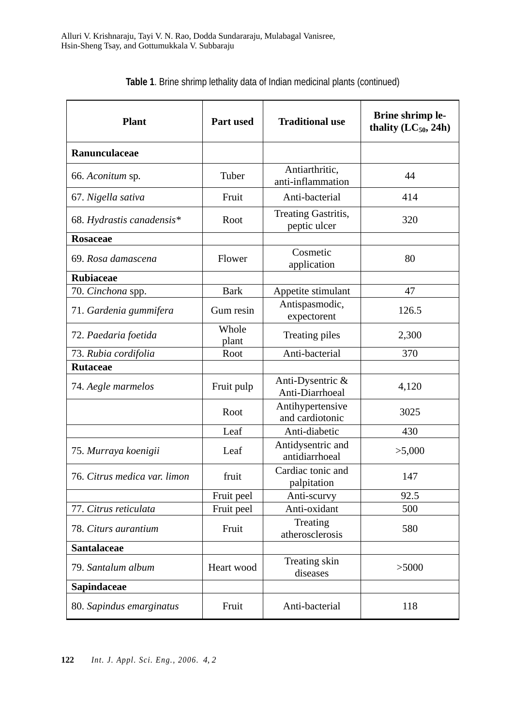| <b>Plant</b>                 | <b>Part used</b> | <b>Traditional use</b>              | <b>Brine shrimp le-</b><br>thality $(LC_{50}, 24h)$ |
|------------------------------|------------------|-------------------------------------|-----------------------------------------------------|
| Ranunculaceae                |                  |                                     |                                                     |
| 66. Aconitum sp.             | Tuber            | Antiarthritic,<br>anti-inflammation | 44                                                  |
| 67. Nigella sativa           | Fruit            | Anti-bacterial                      | 414                                                 |
| 68. Hydrastis canadensis*    | Root             | Treating Gastritis,<br>peptic ulcer | 320                                                 |
| <b>Rosaceae</b>              |                  |                                     |                                                     |
| 69. Rosa damascena           | Flower           | Cosmetic<br>application             | 80                                                  |
| <b>Rubiaceae</b>             |                  |                                     |                                                     |
| 70. Cinchona spp.            | <b>Bark</b>      | Appetite stimulant                  | 47                                                  |
| 71. Gardenia gummifera       | Gum resin        | Antispasmodic,<br>expectorent       | 126.5                                               |
| 72. Paedaria foetida         | Whole<br>plant   | Treating piles                      | 2,300                                               |
| 73. Rubia cordifolia         | Root             | Anti-bacterial                      | 370                                                 |
| <b>Rutaceae</b>              |                  |                                     |                                                     |
| 74. Aegle marmelos           | Fruit pulp       | Anti-Dysentric &<br>Anti-Diarrhoeal | 4,120                                               |
|                              | Root             | Antihypertensive<br>and cardiotonic | 3025                                                |
|                              | Leaf             | Anti-diabetic                       | 430                                                 |
| 75. Murraya koenigii         | Leaf             | Antidysentric and<br>antidiarrhoeal | >5,000                                              |
| 76. Citrus medica var. limon | fruit            | Cardiac tonic and<br>palpitation    | 147                                                 |
|                              | Fruit peel       | Anti-scurvy                         | 92.5                                                |
| 77. Citrus reticulata        | Fruit peel       | Anti-oxidant                        | 500                                                 |
| 78. Citurs aurantium         | Fruit            | Treating<br>atherosclerosis         | 580                                                 |
| <b>Santalaceae</b>           |                  |                                     |                                                     |
| 79. Santalum album           | Heart wood       | Treating skin<br>diseases           | > 5000                                              |
| Sapindaceae                  |                  |                                     |                                                     |
| 80. Sapindus emarginatus     | Fruit            | Anti-bacterial                      | 118                                                 |

| Table 1. Brine shrimp lethality data of Indian medicinal plants (continued) |  |  |  |
|-----------------------------------------------------------------------------|--|--|--|
|-----------------------------------------------------------------------------|--|--|--|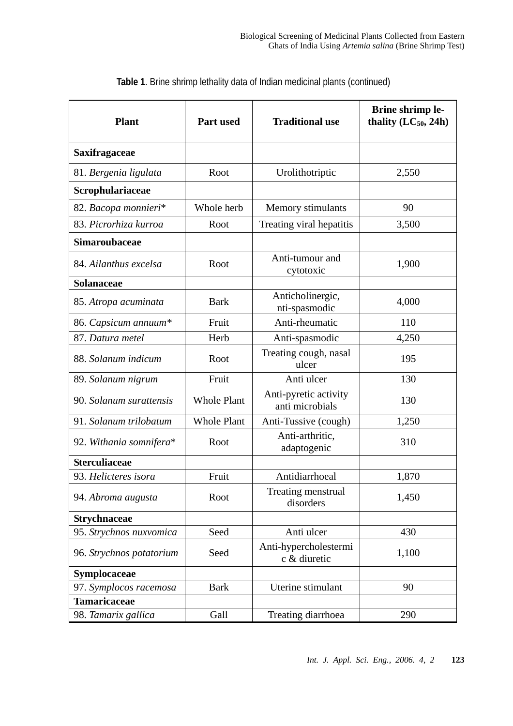| <b>Plant</b>             | <b>Part used</b>   | <b>Traditional use</b>                   | Brine shrimp le-<br>thality $(LC_{50}, 24h)$ |
|--------------------------|--------------------|------------------------------------------|----------------------------------------------|
| <b>Saxifragaceae</b>     |                    |                                          |                                              |
| 81. Bergenia ligulata    | Root               | Urolithotriptic                          | 2,550                                        |
| Scrophulariaceae         |                    |                                          |                                              |
| 82. Bacopa monnieri*     | Whole herb         | Memory stimulants                        | 90                                           |
| 83. Picrorhiza kurroa    | Root               | Treating viral hepatitis                 | 3,500                                        |
| <b>Simaroubaceae</b>     |                    |                                          |                                              |
| 84. Ailanthus excelsa    | Root               | Anti-tumour and<br>cytotoxic             | 1,900                                        |
| Solanaceae               |                    |                                          |                                              |
| 85. Atropa acuminata     | <b>Bark</b>        | Anticholinergic,<br>nti-spasmodic        | 4,000                                        |
| 86. Capsicum annuum*     | Fruit              | Anti-rheumatic                           | 110                                          |
| 87. Datura metel         | Herb               | Anti-spasmodic                           | 4,250                                        |
| 88. Solanum indicum      | Root               | Treating cough, nasal<br>ulcer           | 195                                          |
| 89. Solanum nigrum       | Fruit              | Anti ulcer                               | 130                                          |
| 90. Solanum surattensis  | <b>Whole Plant</b> | Anti-pyretic activity<br>anti microbials | 130                                          |
| 91. Solanum trilobatum   | <b>Whole Plant</b> | Anti-Tussive (cough)                     | 1,250                                        |
| 92. Withania somnifera*  | Root               | Anti-arthritic,<br>adaptogenic           | 310                                          |
| <b>Sterculiaceae</b>     |                    |                                          |                                              |
| 93. Helicteres isora     | Fruit              | Antidiarrhoeal                           | 1,870                                        |
| 94. Abroma augusta       | Root               | Treating menstrual<br>disorders          | 1,450                                        |
| <b>Strychnaceae</b>      |                    |                                          |                                              |
| 95. Strychnos nuxvomica  | Seed               | Anti ulcer                               | 430                                          |
| 96. Strychnos potatorium | Seed               | Anti-hypercholestermi<br>c & diuretic    | 1,100                                        |
| Symplocaceae             |                    |                                          |                                              |
| 97. Symplocos racemosa   | <b>Bark</b>        | Uterine stimulant                        | 90                                           |
| <b>Tamaricaceae</b>      |                    |                                          |                                              |
| 98. Tamarix gallica      | Gall               | Treating diarrhoea                       | 290                                          |

**Table 1**. Brine shrimp lethality data of Indian medicinal plants (continued)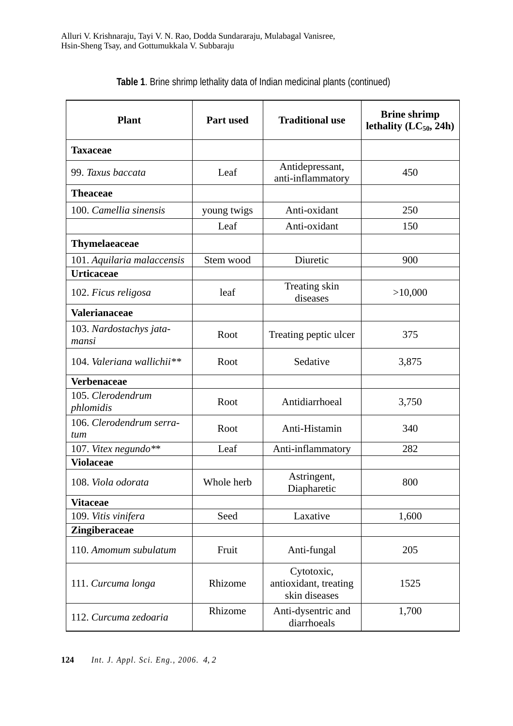| <b>Plant</b>                     | Part used   | <b>Traditional use</b>                               | <b>Brine shrimp</b><br>lethality $(LC_{50}, 24h)$ |
|----------------------------------|-------------|------------------------------------------------------|---------------------------------------------------|
| <b>Taxaceae</b>                  |             |                                                      |                                                   |
| 99. Taxus baccata                | Leaf        | Antidepressant,<br>anti-inflammatory                 | 450                                               |
| <b>Theaceae</b>                  |             |                                                      |                                                   |
| 100. Camellia sinensis           | young twigs | Anti-oxidant                                         | 250                                               |
|                                  | Leaf        | Anti-oxidant                                         | 150                                               |
| <b>Thymelaeaceae</b>             |             |                                                      |                                                   |
| 101. Aquilaria malaccensis       | Stem wood   | Diuretic                                             | 900                                               |
| <b>Urticaceae</b>                |             |                                                      |                                                   |
| 102. Ficus religosa              | leaf        | Treating skin<br>diseases                            | >10,000                                           |
| Valerianaceae                    |             |                                                      |                                                   |
| 103. Nardostachys jata-<br>mansi | Root        | Treating peptic ulcer                                | 375                                               |
| 104. Valeriana wallichii**       | Root        | Sedative                                             | 3,875                                             |
| <b>Verbenaceae</b>               |             |                                                      |                                                   |
| 105. Clerodendrum<br>phlomidis   | Root        | Antidiarrhoeal                                       | 3,750                                             |
| 106. Clerodendrum serra-<br>tum  | Root        | Anti-Histamin                                        | 340                                               |
| 107. Vitex negundo**             | Leaf        | Anti-inflammatory                                    | 282                                               |
| <b>Violaceae</b>                 |             |                                                      |                                                   |
| 108. Viola odorata               | Whole herb  | Astringent,<br>Diapharetic                           | 800                                               |
| <b>Vitaceae</b>                  |             |                                                      |                                                   |
| 109. Vitis vinifera              | Seed        | Laxative                                             | 1,600                                             |
| <b>Zingiberaceae</b>             |             |                                                      |                                                   |
| 110. Amomum subulatum            | Fruit       | Anti-fungal                                          | 205                                               |
| 111. Curcuma longa               | Rhizome     | Cytotoxic,<br>antioxidant, treating<br>skin diseases | 1525                                              |
| 112. Curcuma zedoaria            | Rhizome     | Anti-dysentric and<br>diarrhoeals                    | 1,700                                             |

**Table 1**. Brine shrimp lethality data of Indian medicinal plants (continued)